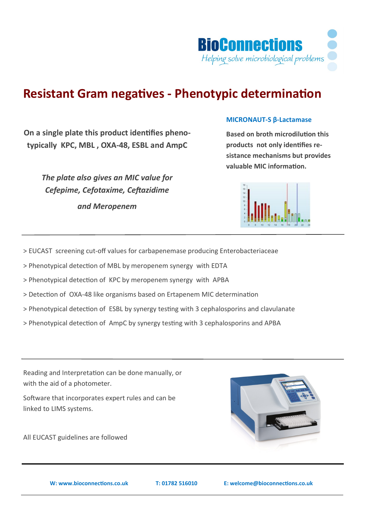

# **Resistant Gram negatives - Phenotypic determination**

**On a single plate this product identifies phenotypically KPC, MBL , OXA-48, ESBL and AmpC**

> *The plate also gives an MIC value for Cefepime, Cefotaxime, Ceftazidime and Meropenem*

#### **MICRONAUT-S β-Lactamase**

**Based on broth microdilution this products not only identifies resistance mechanisms but provides valuable MIC information.**



> EUCAST screening cut-off values for carbapenemase producing Enterobacteriaceae

> Phenotypical detection of MBL by meropenem synergy with EDTA

> Phenotypical detection of KPC by meropenem synergy with APBA

> Detection of OXA-48 like organisms based on Ertapenem MIC determination

> Phenotypical detection of ESBL by synergy testing with 3 cephalosporins and clavulanate

> Phenotypical detection of AmpC by synergy testing with 3 cephalosporins and APBA

Reading and Interpretation can be done manually, or with the aid of a photometer.

Software that incorporates expert rules and can be linked to LIMS systems.

All EUCAST guidelines are followed